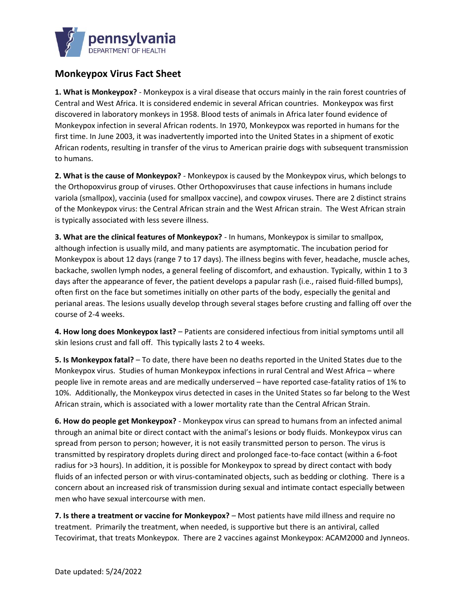

## **Monkeypox Virus Fact Sheet**

**1. What is Monkeypox?** - Monkeypox is a viral disease that occurs mainly in the rain forest countries of Central and West Africa. It is considered endemic in several African countries. Monkeypox was first discovered in laboratory monkeys in 1958. Blood tests of animals in Africa later found evidence of Monkeypox infection in several African rodents. In 1970, Monkeypox was reported in humans for the first time. In June 2003, it was inadvertently imported into the United States in a shipment of exotic African rodents, resulting in transfer of the virus to American prairie dogs with subsequent transmission to humans.

**2. What is the cause of Monkeypox?** - Monkeypox is caused by the Monkeypox virus, which belongs to the Orthopoxvirus group of viruses. Other Orthopoxviruses that cause infections in humans include variola (smallpox), vaccinia (used for smallpox vaccine), and cowpox viruses. There are 2 distinct strains of the Monkeypox virus: the Central African strain and the West African strain. The West African strain is typically associated with less severe illness.

**3. What are the clinical features of Monkeypox?** - In humans, Monkeypox is similar to smallpox, although infection is usually mild, and many patients are asymptomatic. The incubation period for Monkeypox is about 12 days (range 7 to 17 days). The illness begins with fever, headache, muscle aches, backache, swollen lymph nodes, a general feeling of discomfort, and exhaustion. Typically, within 1 to 3 days after the appearance of fever, the patient develops a papular rash (i.e., raised fluid-filled bumps), often first on the face but sometimes initially on other parts of the body, especially the genital and perianal areas. The lesions usually develop through several stages before crusting and falling off over the course of 2-4 weeks.

**4. How long does Monkeypox last?** – Patients are considered infectious from initial symptoms until all skin lesions crust and fall off. This typically lasts 2 to 4 weeks.

**5. Is Monkeypox fatal?** – To date, there have been no deaths reported in the United States due to the Monkeypox virus. Studies of human Monkeypox infections in rural Central and West Africa – where people live in remote areas and are medically underserved – have reported case-fatality ratios of 1% to 10%. Additionally, the Monkeypox virus detected in cases in the United States so far belong to the West African strain, which is associated with a lower mortality rate than the Central African Strain.

**6. How do people get Monkeypox?** - Monkeypox virus can spread to humans from an infected animal through an animal bite or direct contact with the animal's lesions or body fluids. Monkeypox virus can spread from person to person; however, it is not easily transmitted person to person. The virus is transmitted by respiratory droplets during direct and prolonged face-to-face contact (within a 6-foot radius for >3 hours). In addition, it is possible for Monkeypox to spread by direct contact with body fluids of an infected person or with virus-contaminated objects, such as bedding or clothing. There is a concern about an increased risk of transmission during sexual and intimate contact especially between men who have sexual intercourse with men.

**7. Is there a treatment or vaccine for Monkeypox?** – Most patients have mild illness and require no treatment. Primarily the treatment, when needed, is supportive but there is an antiviral, called Tecovirimat, that treats Monkeypox. There are 2 vaccines against Monkeypox: ACAM2000 and Jynneos.